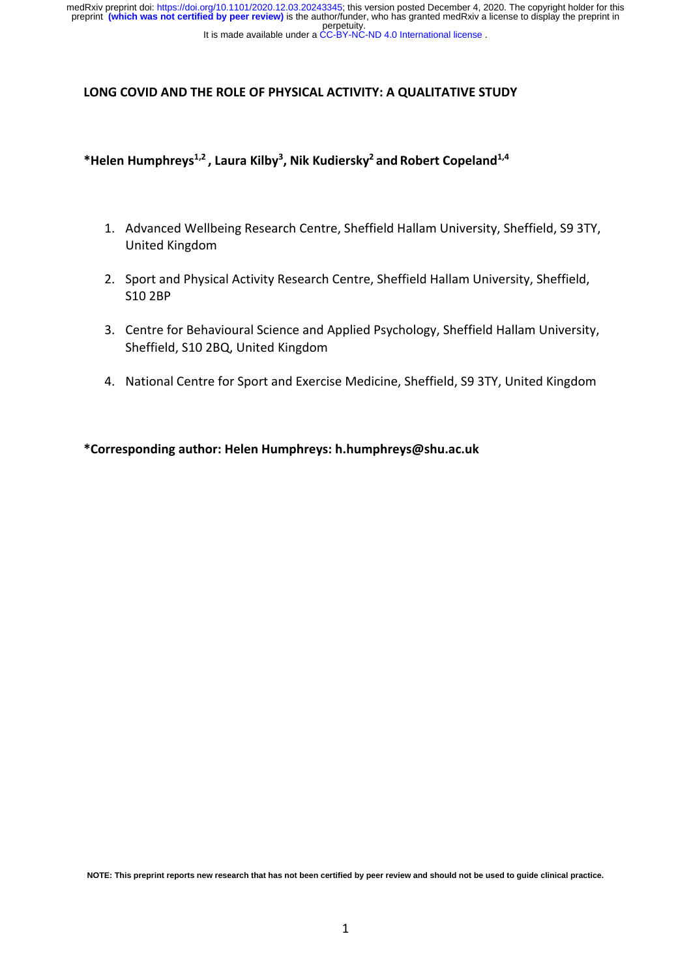perpetuity. medRxiv preprint doi: [https://doi.org/10.1101/2020.12.03.20243345;](https://doi.org/10.1101/2020.12.03.20243345) this version posted December 4, 2020. The copyright holder for this<br>preprint (which was not certified by peer review) is the author/funder, who has granted

#### It is made available under a CC-BY-NC-ND 4.0 International license.

### **LONG COVID AND THE ROLE OF PHYSICAL ACTIVITY: A QUALITATIVE STUDY**

## **\*Helen Humphreys1,2 , Laura Kilby3 , Nik Kudiersky2 and Robert Copeland1,4**

- 1. Advanced Wellbeing Research Centre, Sheffield Hallam University, Sheffield, S9 3TY, United Kingdom
- 2. Sport and Physical Activity Research Centre, Sheffield Hallam University, Sheffield, S10 2BP
- 3. Centre for Behavioural Science and Applied Psychology, Sheffield Hallam University, Sheffield, S10 2BQ, United Kingdom
- 4. National Centre for Sport and Exercise Medicine, Sheffield, S9 3TY, United Kingdom

**\*Corresponding author: Helen Humphreys: h.humphreys@shu.ac.uk**

**NOTE: This preprint reports new research that has not been certified by peer review and should not be used to guide clinical practice.**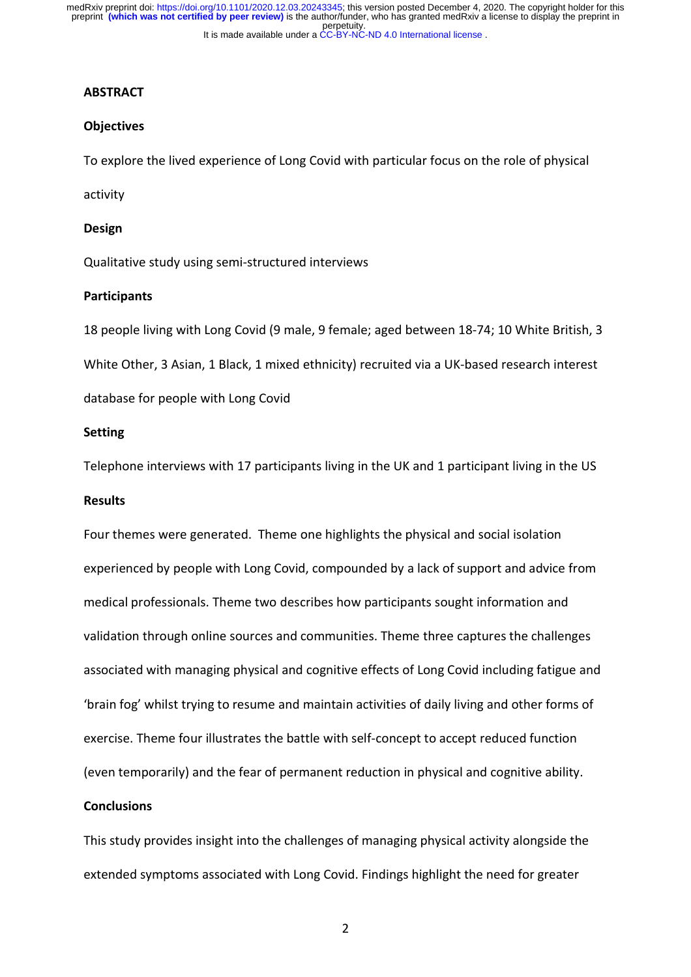### **ABSTRACT**

#### **Objectives**

To explore the lived experience of Long Covid with particular focus on the role of physical

activity

#### **Design**

Qualitative study using semi-structured interviews

#### **Participants**

18 people living with Long Covid (9 male, 9 female; aged between 18-74; 10 White British, 3 White Other, 3 Asian, 1 Black, 1 mixed ethnicity) recruited via a UK-based research interest database for people with Long Covid

### **Setting**

Telephone interviews with 17 participants living in the UK and 1 participant living in the US

### **Results**

Four themes were generated. Theme one highlights the physical and social isolation experienced by people with Long Covid, compounded by a lack of support and advice from medical professionals. Theme two describes how participants sought information and validation through online sources and communities. Theme three captures the challenges associated with managing physical and cognitive effects of Long Covid including fatigue and 'brain fog' whilst trying to resume and maintain activities of daily living and other forms of exercise. Theme four illustrates the battle with self-concept to accept reduced function (even temporarily) and the fear of permanent reduction in physical and cognitive ability.

## **Conclusions**

This study provides insight into the challenges of managing physical activity alongside the extended symptoms associated with Long Covid. Findings highlight the need for greater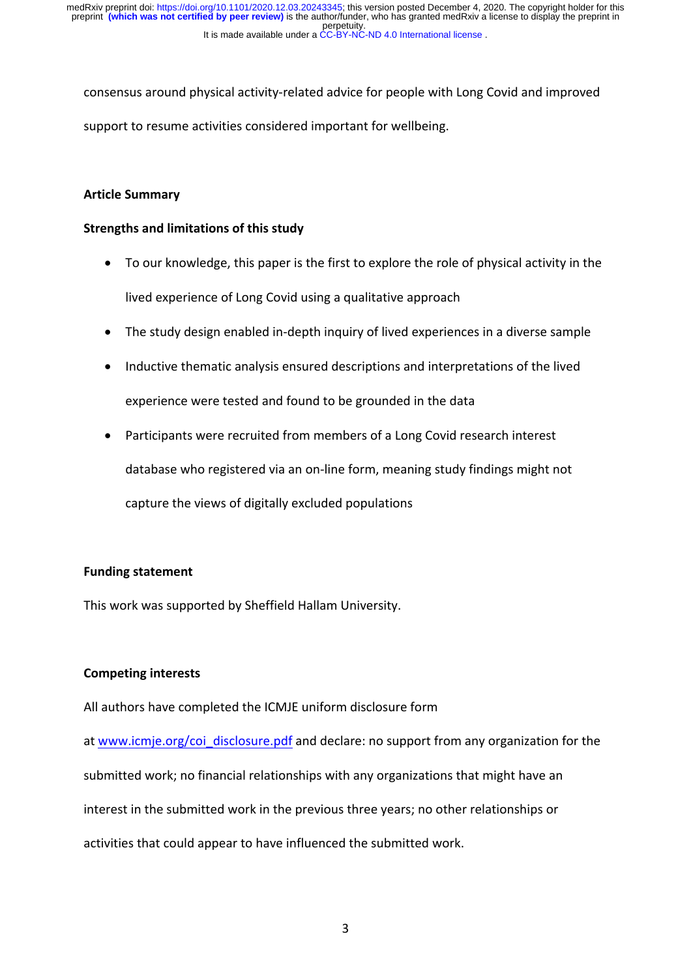consensus around physical activity-related advice for people with Long Covid and improved support to resume activities considered important for wellbeing.

## **Article Summary**

## **Strengths and limitations of this study**

- To our knowledge, this paper is the first to explore the role of physical activity in the lived experience of Long Covid using a qualitative approach
- The study design enabled in-depth inquiry of lived experiences in a diverse sample
- Inductive thematic analysis ensured descriptions and interpretations of the lived experience were tested and found to be grounded in the data
- Participants were recruited from members of a Long Covid research interest database who registered via an on-line form, meaning study findings might not capture the views of digitally excluded populations

### **Funding statement**

This work was supported by Sheffield Hallam University.

## **Competing interests**

All authors have completed the ICMJE uniform disclosure form

at www.icmje.org/coi\_disclosure.pdf and declare: no support from any organization for the submitted work; no financial relationships with any organizations that might have an interest in the submitted work in the previous three years; no other relationships or activities that could appear to have influenced the submitted work.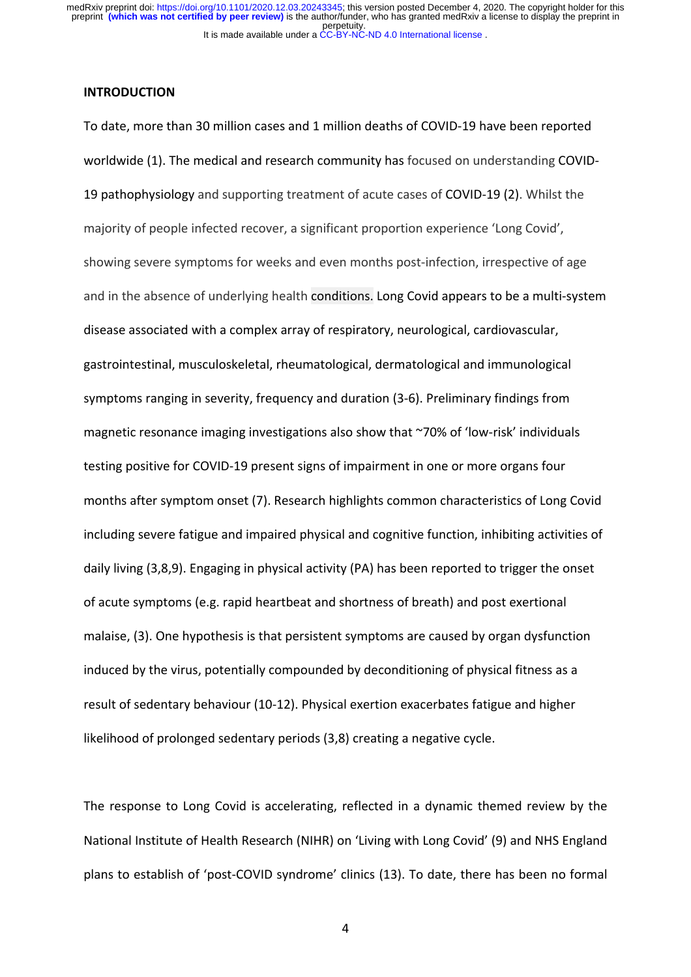### **INTRODUCTION**

To date, more than 30 million cases and 1 million deaths of COVID-19 have been reported worldwide (1). The medical and research community has focused on understanding COVID-19 pathophysiology and supporting treatment of acute cases of COVID-19 (2). Whilst the majority of people infected recover, a significant proportion experience 'Long Covid', showing severe symptoms for weeks and even months post-infection, irrespective of age and in the absence of underlying health conditions. Long Covid appears to be a multi-system disease associated with a complex array of respiratory, neurological, cardiovascular, gastrointestinal, musculoskeletal, rheumatological, dermatological and immunological symptoms ranging in severity, frequency and duration (3-6). Preliminary findings from magnetic resonance imaging investigations also show that ~70% of 'low-risk' individuals testing positive for COVID-19 present signs of impairment in one or more organs four months after symptom onset (7). Research highlights common characteristics of Long Covid including severe fatigue and impaired physical and cognitive function, inhibiting activities of daily living (3,8,9). Engaging in physical activity (PA) has been reported to trigger the onset of acute symptoms (e.g. rapid heartbeat and shortness of breath) and post exertional malaise, (3). One hypothesis is that persistent symptoms are caused by organ dysfunction induced by the virus, potentially compounded by deconditioning of physical fitness as a result of sedentary behaviour (10-12). Physical exertion exacerbates fatigue and higher likelihood of prolonged sedentary periods (3,8) creating a negative cycle.

The response to Long Covid is accelerating, reflected in a dynamic themed review by the National Institute of Health Research (NIHR) on 'Living with Long Covid' (9) and NHS England plans to establish of 'post-COVID syndrome' clinics (13). To date, there has been no formal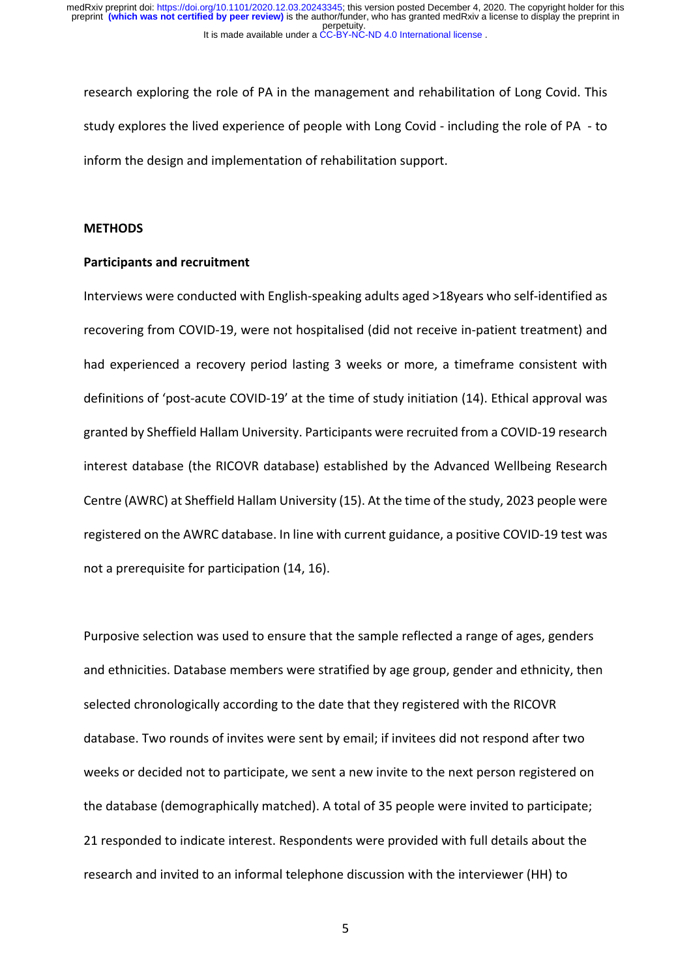research exploring the role of PA in the management and rehabilitation of Long Covid. This study explores the lived experience of people with Long Covid - including the role of PA - to inform the design and implementation of rehabilitation support.

### **METHODS**

### **Participants and recruitment**

Interviews were conducted with English-speaking adults aged >18years who self-identified as recovering from COVID-19, were not hospitalised (did not receive in-patient treatment) and had experienced a recovery period lasting 3 weeks or more, a timeframe consistent with definitions of 'post-acute COVID-19' at the time of study initiation (14). Ethical approval was granted by Sheffield Hallam University. Participants were recruited from a COVID-19 research interest database (the RICOVR database) established by the Advanced Wellbeing Research Centre (AWRC) at Sheffield Hallam University (15). At the time of the study, 2023 people were registered on the AWRC database. In line with current guidance, a positive COVID-19 test was not a prerequisite for participation (14, 16).

Purposive selection was used to ensure that the sample reflected a range of ages, genders and ethnicities. Database members were stratified by age group, gender and ethnicity, then selected chronologically according to the date that they registered with the RICOVR database. Two rounds of invites were sent by email; if invitees did not respond after two weeks or decided not to participate, we sent a new invite to the next person registered on the database (demographically matched). A total of 35 people were invited to participate; 21 responded to indicate interest. Respondents were provided with full details about the research and invited to an informal telephone discussion with the interviewer (HH) to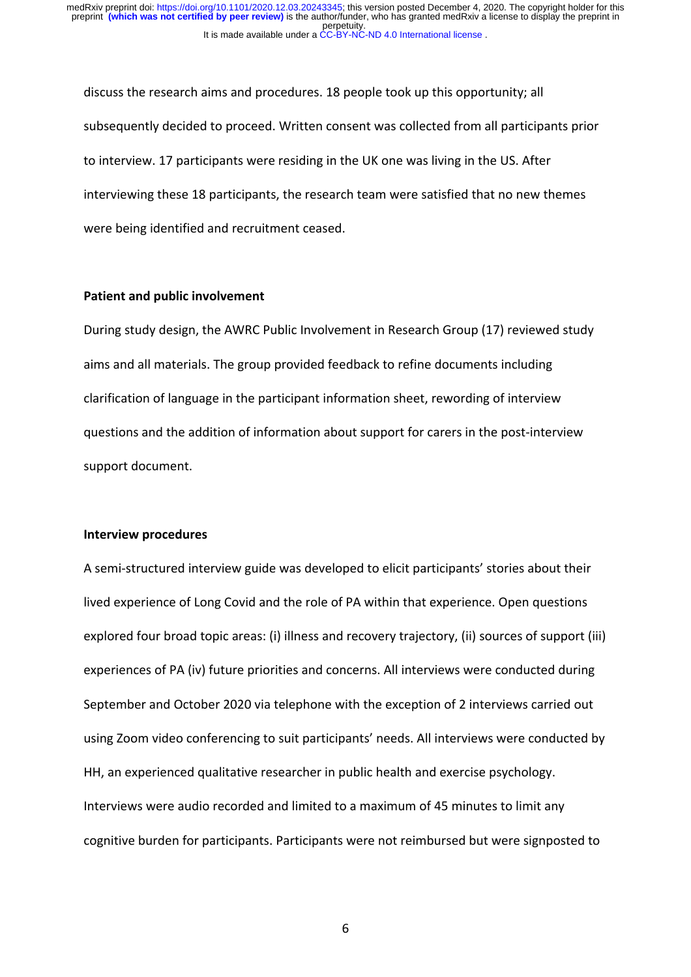discuss the research aims and procedures. 18 people took up this opportunity; all subsequently decided to proceed. Written consent was collected from all participants prior to interview. 17 participants were residing in the UK one was living in the US. After interviewing these 18 participants, the research team were satisfied that no new themes were being identified and recruitment ceased.

#### **Patient and public involvement**

During study design, the AWRC Public Involvement in Research Group (17) reviewed study aims and all materials. The group provided feedback to refine documents including clarification of language in the participant information sheet, rewording of interview questions and the addition of information about support for carers in the post-interview support document.

#### **Interview procedures**

A semi-structured interview guide was developed to elicit participants' stories about their lived experience of Long Covid and the role of PA within that experience. Open questions explored four broad topic areas: (i) illness and recovery trajectory, (ii) sources of support (iii) experiences of PA (iv) future priorities and concerns. All interviews were conducted during September and October 2020 via telephone with the exception of 2 interviews carried out using Zoom video conferencing to suit participants' needs. All interviews were conducted by HH, an experienced qualitative researcher in public health and exercise psychology. Interviews were audio recorded and limited to a maximum of 45 minutes to limit any cognitive burden for participants. Participants were not reimbursed but were signposted to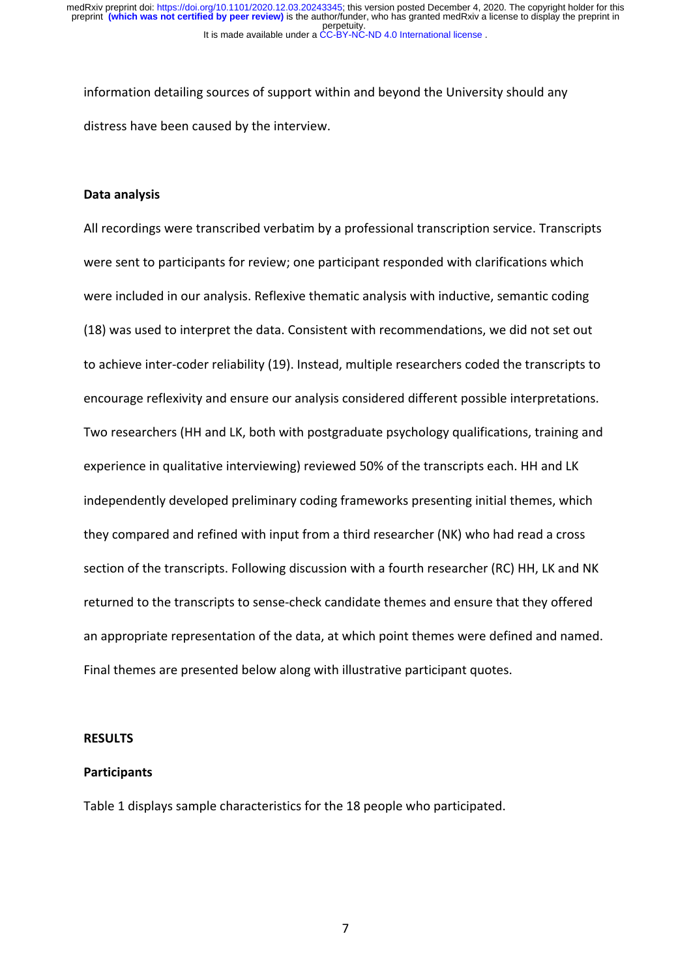information detailing sources of support within and beyond the University should any distress have been caused by the interview.

#### **Data analysis**

All recordings were transcribed verbatim by a professional transcription service. Transcripts were sent to participants for review; one participant responded with clarifications which were included in our analysis. Reflexive thematic analysis with inductive, semantic coding (18) was used to interpret the data. Consistent with recommendations, we did not set out to achieve inter-coder reliability (19). Instead, multiple researchers coded the transcripts to encourage reflexivity and ensure our analysis considered different possible interpretations. Two researchers (HH and LK, both with postgraduate psychology qualifications, training and experience in qualitative interviewing) reviewed 50% of the transcripts each. HH and LK independently developed preliminary coding frameworks presenting initial themes, which they compared and refined with input from a third researcher (NK) who had read a cross section of the transcripts. Following discussion with a fourth researcher (RC) HH, LK and NK returned to the transcripts to sense-check candidate themes and ensure that they offered an appropriate representation of the data, at which point themes were defined and named. Final themes are presented below along with illustrative participant quotes.

#### **RESULTS**

### **Participants**

Table 1 displays sample characteristics for the 18 people who participated.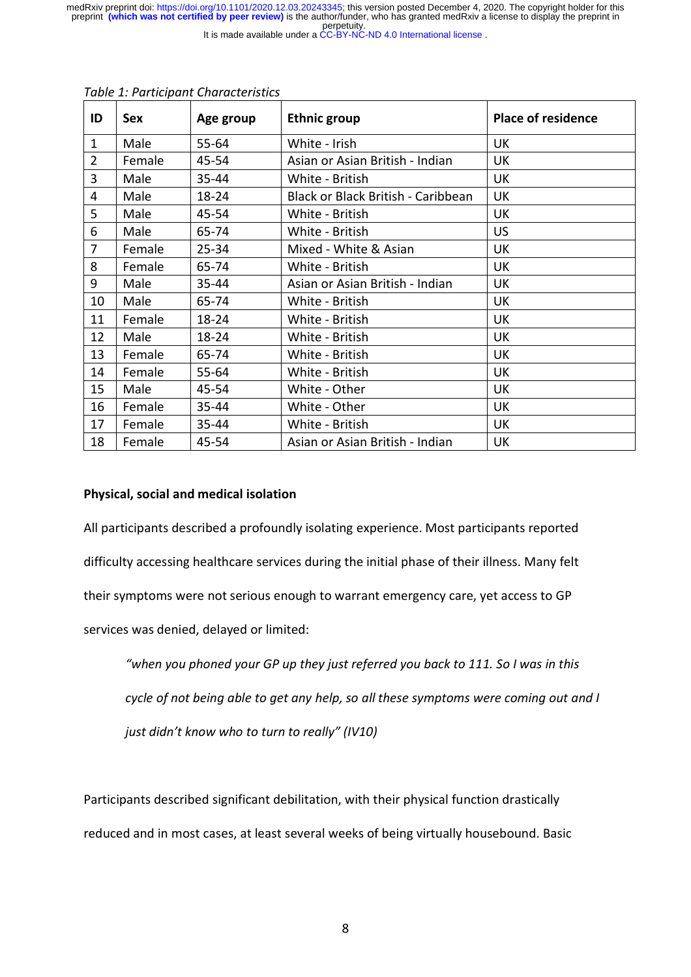perpetuity. medRxiv preprint doi: [https://doi.org/10.1101/2020.12.03.20243345;](https://doi.org/10.1101/2020.12.03.20243345) this version posted December 4, 2020. The copyright holder for this<br>preprint (which was not certified by peer review) is the author/funder, who has granted

It is made available under a CC-BY-NC-ND 4.0 International license.

| ID             | Sex    | Age group | <b>Ethnic group</b>                | <b>Place of residence</b> |
|----------------|--------|-----------|------------------------------------|---------------------------|
| $\mathbf{1}$   | Male   | 55-64     | White - Irish                      | <b>UK</b>                 |
| $\overline{2}$ | Female | 45-54     | Asian or Asian British - Indian    | <b>UK</b>                 |
| 3              | Male   | 35-44     | White - British                    | <b>UK</b>                 |
| 4              | Male   | 18-24     | Black or Black British - Caribbean | UK                        |
| 5              | Male   | 45-54     | White - British                    | UK                        |
| 6              | Male   | 65-74     | White - British                    | <b>US</b>                 |
| 7              | Female | $25 - 34$ | Mixed - White & Asian              | <b>UK</b>                 |
| 8              | Female | 65-74     | White - British                    | UK                        |
| 9              | Male   | 35-44     | Asian or Asian British - Indian    | UK                        |
| 10             | Male   | 65-74     | White - British                    | <b>UK</b>                 |
| 11             | Female | 18-24     | White - British                    | <b>UK</b>                 |
| 12             | Male   | 18-24     | White - British                    | UK                        |
| 13             | Female | 65-74     | White - British                    | UK                        |
| 14             | Female | 55-64     | White - British                    | <b>UK</b>                 |
| 15             | Male   | 45-54     | White - Other                      | UK                        |
| 16             | Female | 35-44     | White - Other                      | <b>UK</b>                 |
| 17             | Female | 35-44     | White - British                    | UK                        |
| 18             | Female | 45-54     | Asian or Asian British - Indian    | <b>UK</b>                 |

#### *Table 1: Participant Characteristics*

## **Physical, social and medical isolation**

All participants described a profoundly isolating experience. Most participants reported difficulty accessing healthcare services during the initial phase of their illness. Many felt their symptoms were not serious enough to warrant emergency care, yet access to GP services was denied, delayed or limited:

*"when you phoned your GP up they just referred you back to 111. So I was in this*

*cycle of not being able to get any help, so all these symptoms were coming out and I*

*just didn't know who to turn to really" (IV10)*

Participants described significant debilitation, with their physical function drastically reduced and in most cases, at least several weeks of being virtually housebound. Basic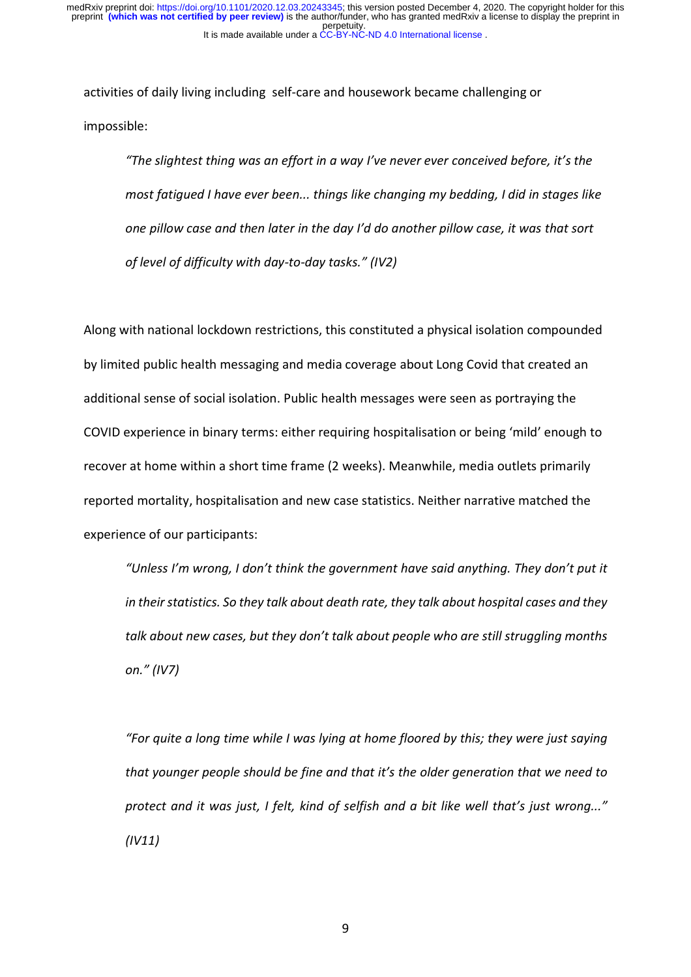activities of daily living including self-care and housework became challenging or impossible:

*"The slightest thing was an effort in a way I've never ever conceived before, it's the most fatigued I have ever been... things like changing my bedding, I did in stages like one pillow case and then later in the day I'd do another pillow case, it was that sort of level of difficulty with day-to-day tasks." (IV2)*

Along with national lockdown restrictions, this constituted a physical isolation compounded by limited public health messaging and media coverage about Long Covid that created an additional sense of social isolation. Public health messages were seen as portraying the COVID experience in binary terms: either requiring hospitalisation or being 'mild' enough to recover at home within a short time frame (2 weeks). Meanwhile, media outlets primarily reported mortality, hospitalisation and new case statistics. Neither narrative matched the experience of our participants:

*"Unless I'm wrong, I don't think the government have said anything. They don't put it in their statistics. So they talk about death rate, they talk about hospital cases and they talk about new cases, but they don't talk about people who are still struggling months on." (IV7)*

*"For quite a long time while I was lying at home floored by this; they were just saying that younger people should be fine and that it's the older generation that we need to protect and it was just, I felt, kind of selfish and a bit like well that's just wrong..." (IV11)*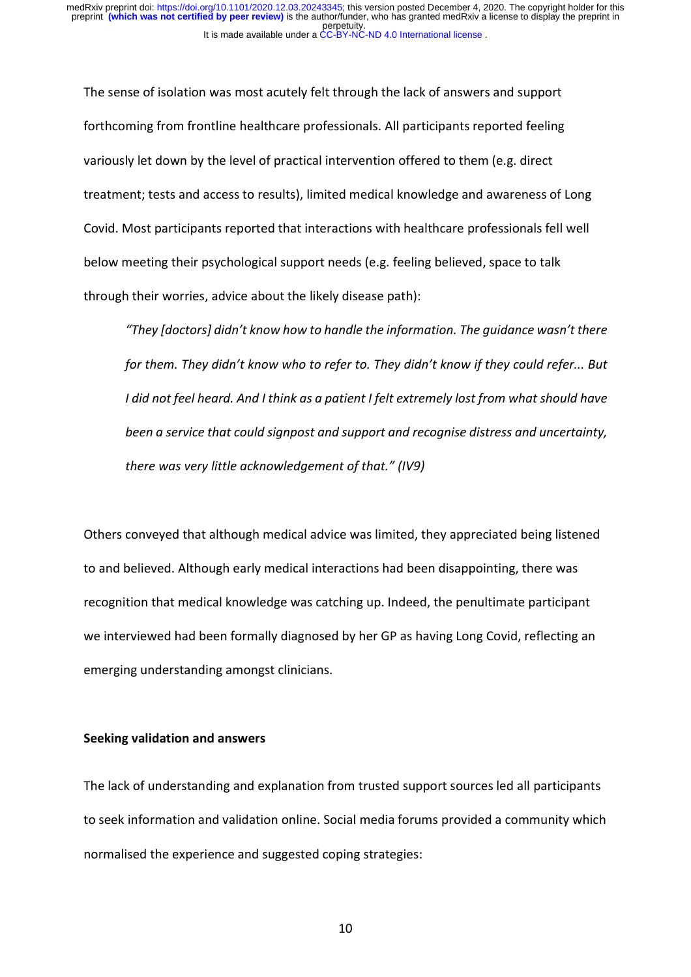The sense of isolation was most acutely felt through the lack of answers and support forthcoming from frontline healthcare professionals. All participants reported feeling variously let down by the level of practical intervention offered to them (e.g. direct treatment; tests and access to results), limited medical knowledge and awareness of Long Covid. Most participants reported that interactions with healthcare professionals fell well below meeting their psychological support needs (e.g. feeling believed, space to talk through their worries, advice about the likely disease path):

*"They [doctors] didn't know how to handle the information. The guidance wasn't there for them. They didn't know who to refer to. They didn't know if they could refer... But I did not feel heard. And I think as a patient I felt extremely lost from what should have been a service that could signpost and support and recognise distress and uncertainty, there was very little acknowledgement of that." (IV9)*

Others conveyed that although medical advice was limited, they appreciated being listened to and believed. Although early medical interactions had been disappointing, there was recognition that medical knowledge was catching up. Indeed, the penultimate participant we interviewed had been formally diagnosed by her GP as having Long Covid, reflecting an emerging understanding amongst clinicians.

### **Seeking validation and answers**

The lack of understanding and explanation from trusted support sources led all participants to seek information and validation online. Social media forums provided a community which normalised the experience and suggested coping strategies: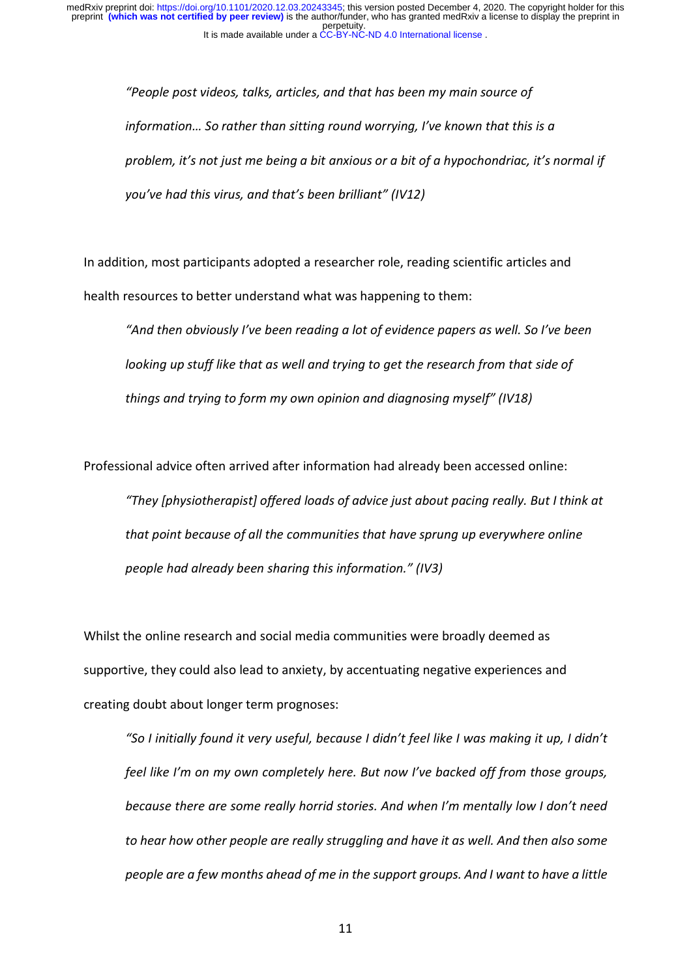> *"People post videos, talks, articles, and that has been my main source of information… So rather than sitting round worrying, I've known that this is a problem, it's not just me being a bit anxious or a bit of a hypochondriac, it's normal if you've had this virus, and that's been brilliant" (IV12)*

In addition, most participants adopted a researcher role, reading scientific articles and health resources to better understand what was happening to them:

*"And then obviously I've been reading a lot of evidence papers as well. So I've been looking up stuff like that as well and trying to get the research from that side of things and trying to form my own opinion and diagnosing myself" (IV18)*

Professional advice often arrived after information had already been accessed online:

*"They [physiotherapist] offered loads of advice just about pacing really. But I think at that point because of all the communities that have sprung up everywhere online people had already been sharing this information." (IV3)*

Whilst the online research and social media communities were broadly deemed as supportive, they could also lead to anxiety, by accentuating negative experiences and creating doubt about longer term prognoses:

*"So I initially found it very useful, because I didn't feel like I was making it up, I didn't feel like I'm on my own completely here. But now I've backed off from those groups, because there are some really horrid stories. And when I'm mentally low I don't need to hear how other people are really struggling and have it as well. And then also some people are a few months ahead of me in the support groups. And I want to have a little*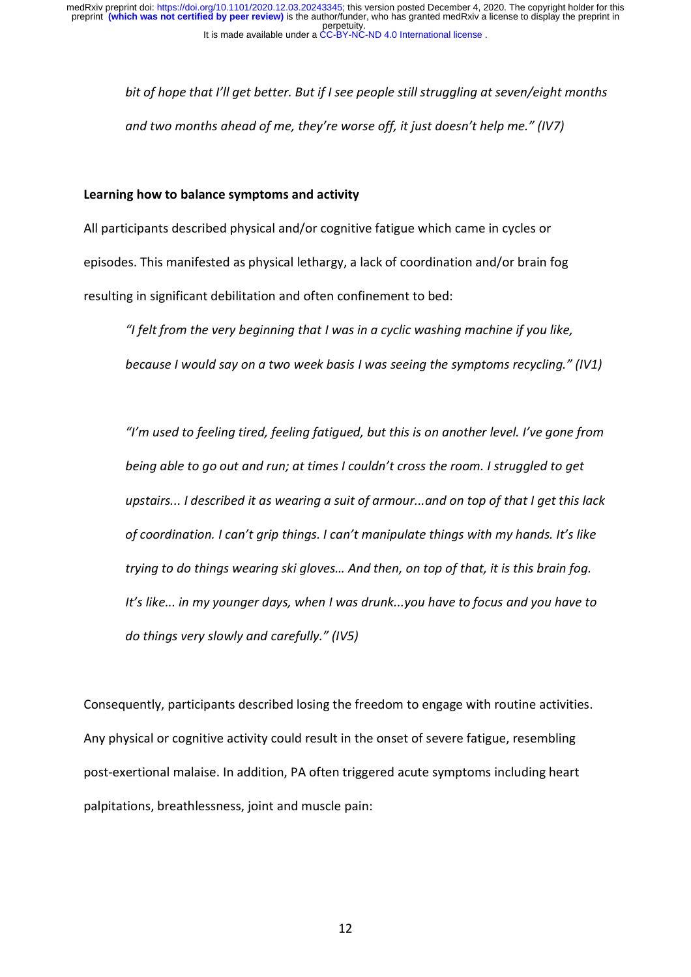*bit of hope that I'll get better. But if I see people still struggling at seven/eight months and two months ahead of me, they're worse off, it just doesn't help me." (IV7)*

### **Learning how to balance symptoms and activity**

All participants described physical and/or cognitive fatigue which came in cycles or episodes. This manifested as physical lethargy, a lack of coordination and/or brain fog resulting in significant debilitation and often confinement to bed:

*"I felt from the very beginning that I was in a cyclic washing machine if you like, because I would say on a two week basis I was seeing the symptoms recycling." (IV1)*

*"I'm used to feeling tired, feeling fatigued, but this is on another level. I've gone from being able to go out and run; at times I couldn't cross the room. I struggled to get upstairs... I described it as wearing a suit of armour...and on top of that I get this lack of coordination. I can't grip things. I can't manipulate things with my hands. It's like trying to do things wearing ski gloves… And then, on top of that, it is this brain fog. It's like... in my younger days, when I was drunk...you have to focus and you have to do things very slowly and carefully." (IV5)*

Consequently, participants described losing the freedom to engage with routine activities. Any physical or cognitive activity could result in the onset of severe fatigue, resembling post-exertional malaise. In addition, PA often triggered acute symptoms including heart palpitations, breathlessness, joint and muscle pain: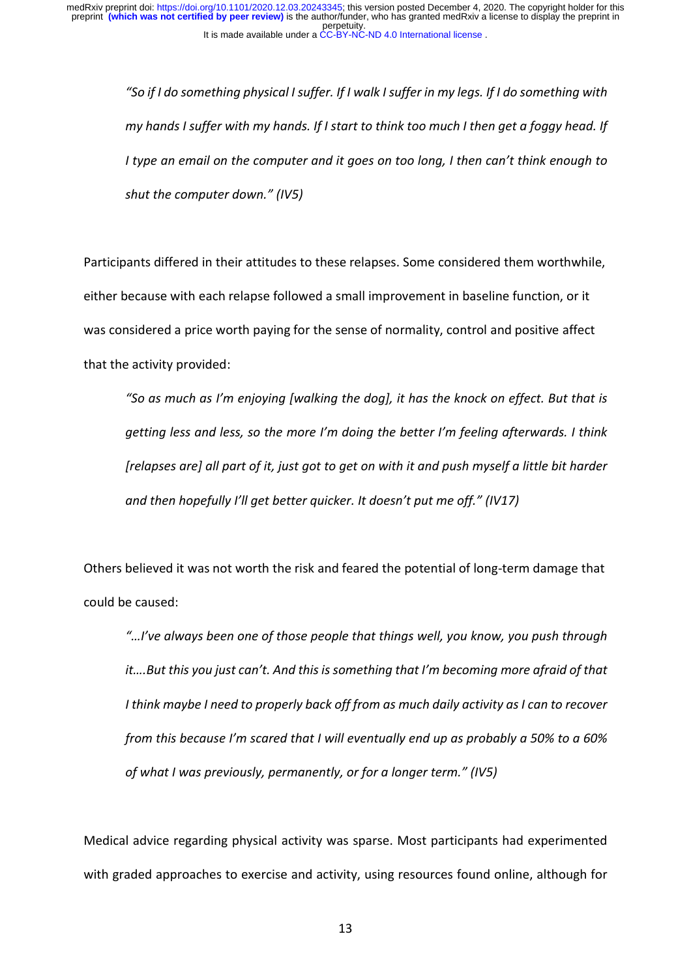*"So if I do something physical I suffer. If I walk I suffer in my legs. If I do something with my hands I suffer with my hands. If I start to think too much I then get a foggy head. If I type an email on the computer and it goes on too long, I then can't think enough to shut the computer down." (IV5)*

Participants differed in their attitudes to these relapses. Some considered them worthwhile, either because with each relapse followed a small improvement in baseline function, or it was considered a price worth paying for the sense of normality, control and positive affect that the activity provided:

*"So as much as I'm enjoying [walking the dog], it has the knock on effect. But that is getting less and less, so the more I'm doing the better I'm feeling afterwards. I think [relapses are] all part of it, just got to get on with it and push myself a little bit harder and then hopefully I'll get better quicker. It doesn't put me off." (IV17)*

Others believed it was not worth the risk and feared the potential of long-term damage that could be caused:

*"…I've always been one of those people that things well, you know, you push through it….But this you just can't. And this is something that I'm becoming more afraid of that I think maybe I need to properly back off from as much daily activity as I can to recover from this because I'm scared that I will eventually end up as probably a 50% to a 60% of what I was previously, permanently, or for a longer term." (IV5)*

Medical advice regarding physical activity was sparse. Most participants had experimented with graded approaches to exercise and activity, using resources found online, although for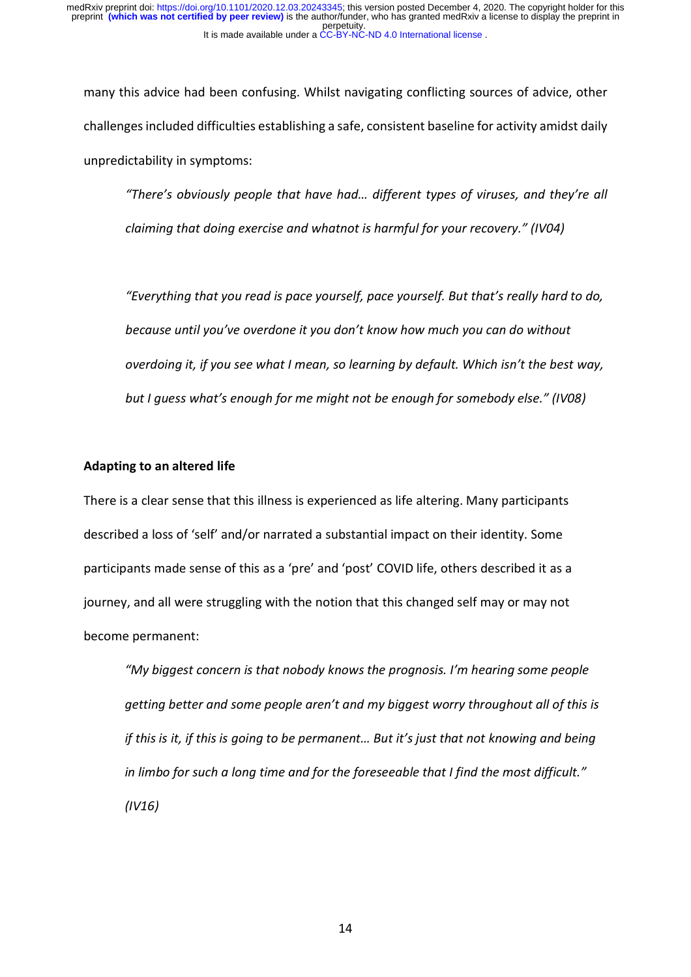many this advice had been confusing. Whilst navigating conflicting sources of advice, other challenges included difficulties establishing a safe, consistent baseline for activity amidst daily unpredictability in symptoms:

*"There's obviously people that have had… different types of viruses, and they're all claiming that doing exercise and whatnot is harmful for your recovery." (IV04)*

*"Everything that you read is pace yourself, pace yourself. But that's really hard to do, because until you've overdone it you don't know how much you can do without overdoing it, if you see what I mean, so learning by default. Which isn't the best way, but I guess what's enough for me might not be enough for somebody else." (IV08)*

### **Adapting to an altered life**

There is a clear sense that this illness is experienced as life altering. Many participants described a loss of 'self' and/or narrated a substantial impact on their identity. Some participants made sense of this as a 'pre' and 'post' COVID life, others described it as a journey, and all were struggling with the notion that this changed self may or may not become permanent:

*"My biggest concern is that nobody knows the prognosis. I'm hearing some people getting better and some people aren't and my biggest worry throughout all of this is if this is it, if this is going to be permanent… But it's just that not knowing and being in limbo for such a long time and for the foreseeable that I find the most difficult." (IV16)*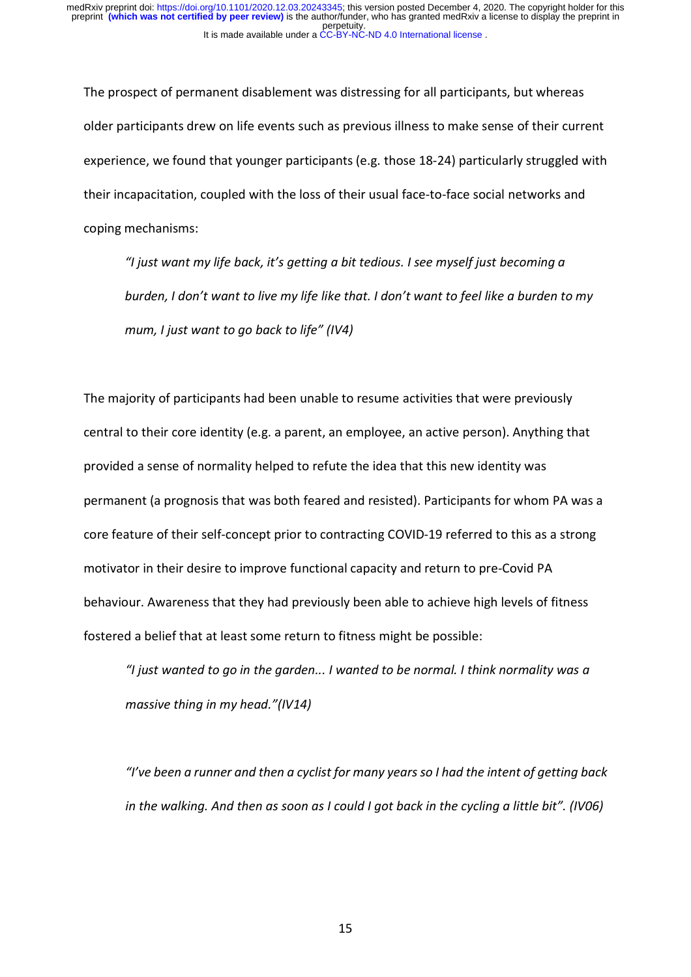The prospect of permanent disablement was distressing for all participants, but whereas older participants drew on life events such as previous illness to make sense of their current experience, we found that younger participants (e.g. those 18-24) particularly struggled with their incapacitation, coupled with the loss of their usual face-to-face social networks and coping mechanisms:

*"I just want my life back, it's getting a bit tedious. I see myself just becoming a* burden, I don't want to live my life like that. I don't want to feel like a burden to my *mum, I just want to go back to life" (IV4)*

The majority of participants had been unable to resume activities that were previously central to their core identity (e.g. a parent, an employee, an active person). Anything that provided a sense of normality helped to refute the idea that this new identity was permanent (a prognosis that was both feared and resisted). Participants for whom PA was a core feature of their self-concept prior to contracting COVID-19 referred to this as a strong motivator in their desire to improve functional capacity and return to pre-Covid PA behaviour. Awareness that they had previously been able to achieve high levels of fitness fostered a belief that at least some return to fitness might be possible:

*"I just wanted to go in the garden... I wanted to be normal. I think normality was a massive thing in my head."(IV14)*

*"I've been a runner and then a cyclist for many years so I had the intent of getting back in the walking. And then as soon as I could I got back in the cycling a little bit". (IV06)*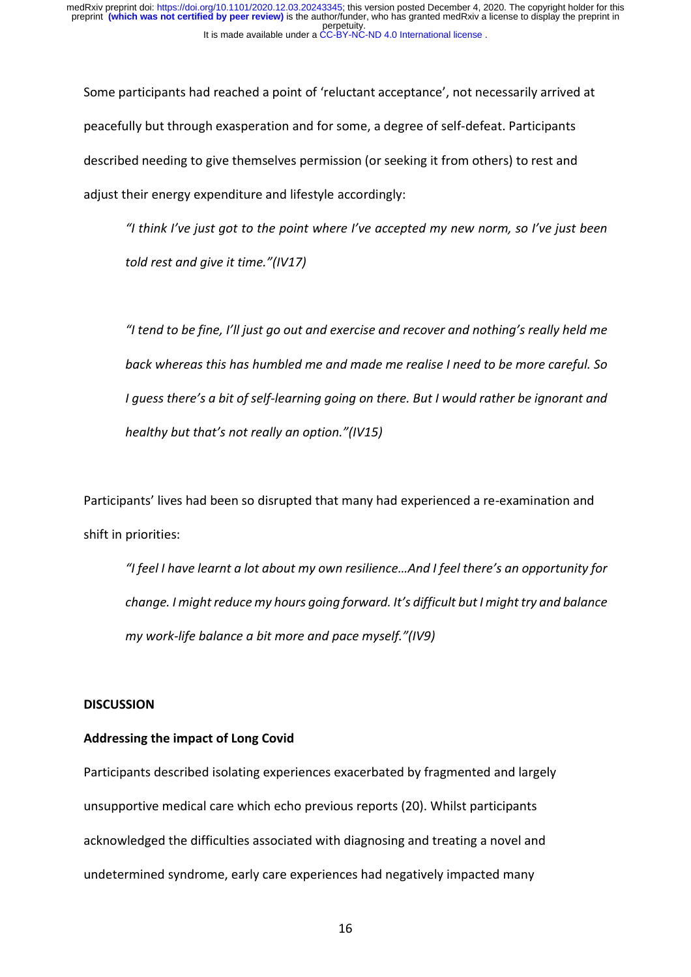Some participants had reached a point of 'reluctant acceptance', not necessarily arrived at peacefully but through exasperation and for some, a degree of self-defeat. Participants described needing to give themselves permission (or seeking it from others) to rest and adjust their energy expenditure and lifestyle accordingly:

*"I think I've just got to the point where I've accepted my new norm, so I've just been told rest and give it time."(IV17)*

*"I tend to be fine, I'll just go out and exercise and recover and nothing's really held me back whereas this has humbled me and made me realise I need to be more careful. So I guess there's a bit of self-learning going on there. But I would rather be ignorant and healthy but that's not really an option."(IV15)*

Participants' lives had been so disrupted that many had experienced a re-examination and shift in priorities:

*"I feel I have learnt a lot about my own resilience…And I feel there's an opportunity for change. I might reduce my hours going forward. It's difficult but I might try and balance my work-life balance a bit more and pace myself."(IV9)*

## **DISCUSSION**

#### **Addressing the impact of Long Covid**

Participants described isolating experiences exacerbated by fragmented and largely unsupportive medical care which echo previous reports (20). Whilst participants acknowledged the difficulties associated with diagnosing and treating a novel and undetermined syndrome, early care experiences had negatively impacted many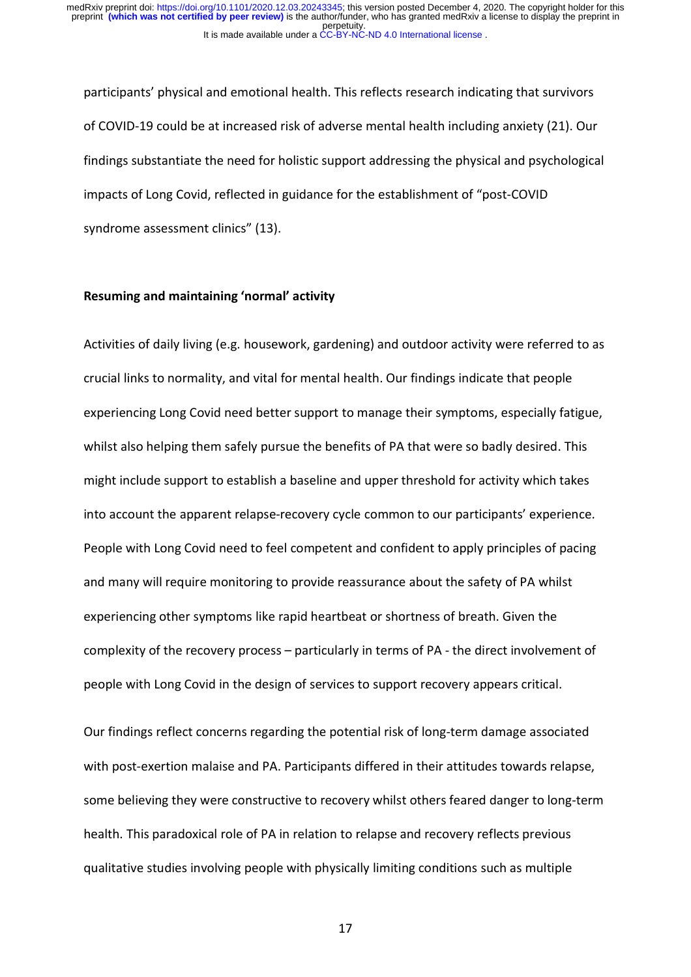participants' physical and emotional health. This reflects research indicating that survivors of COVID-19 could be at increased risk of adverse mental health including anxiety (21). Our findings substantiate the need for holistic support addressing the physical and psychological impacts of Long Covid, reflected in guidance for the establishment of "post-COVID syndrome assessment clinics" (13).

#### **Resuming and maintaining 'normal' activity**

Activities of daily living (e.g. housework, gardening) and outdoor activity were referred to as crucial links to normality, and vital for mental health. Our findings indicate that people experiencing Long Covid need better support to manage their symptoms, especially fatigue, whilst also helping them safely pursue the benefits of PA that were so badly desired. This might include support to establish a baseline and upper threshold for activity which takes into account the apparent relapse-recovery cycle common to our participants' experience. People with Long Covid need to feel competent and confident to apply principles of pacing and many will require monitoring to provide reassurance about the safety of PA whilst experiencing other symptoms like rapid heartbeat or shortness of breath. Given the complexity of the recovery process – particularly in terms of PA - the direct involvement of people with Long Covid in the design of services to support recovery appears critical.

Our findings reflect concerns regarding the potential risk of long-term damage associated with post-exertion malaise and PA. Participants differed in their attitudes towards relapse, some believing they were constructive to recovery whilst others feared danger to long-term health. This paradoxical role of PA in relation to relapse and recovery reflects previous qualitative studies involving people with physically limiting conditions such as multiple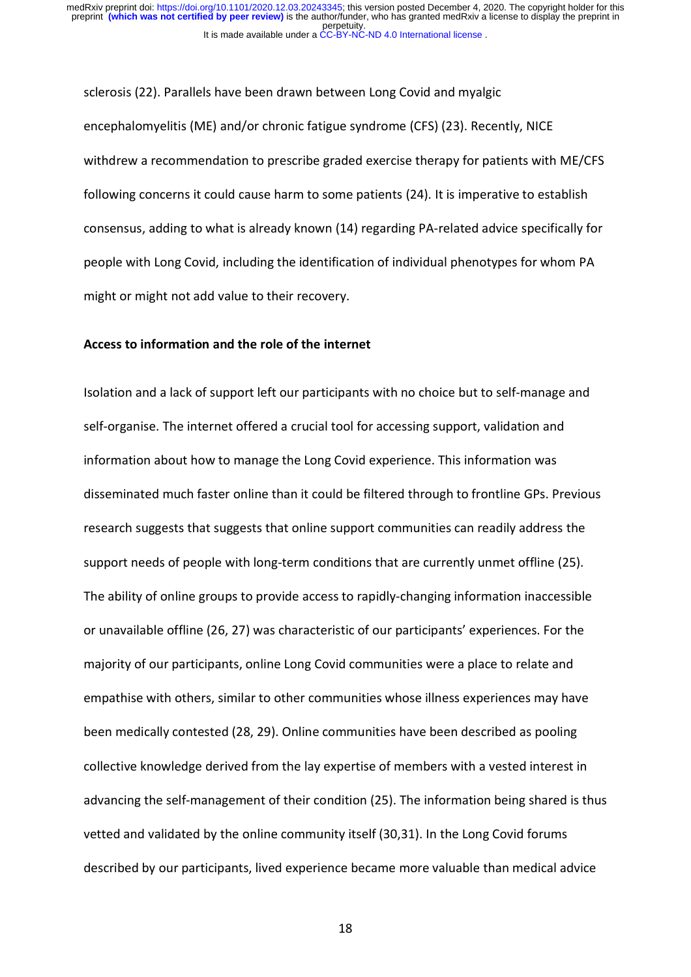sclerosis (22). Parallels have been drawn between Long Covid and myalgic encephalomyelitis (ME) and/or chronic fatigue syndrome (CFS) (23). Recently, NICE withdrew a recommendation to prescribe graded exercise therapy for patients with ME/CFS following concerns it could cause harm to some patients (24). It is imperative to establish consensus, adding to what is already known (14) regarding PA-related advice specifically for people with Long Covid, including the identification of individual phenotypes for whom PA might or might not add value to their recovery.

#### **Access to information and the role of the internet**

Isolation and a lack of support left our participants with no choice but to self-manage and self-organise. The internet offered a crucial tool for accessing support, validation and information about how to manage the Long Covid experience. This information was disseminated much faster online than it could be filtered through to frontline GPs. Previous research suggests that suggests that online support communities can readily address the support needs of people with long-term conditions that are currently unmet offline (25). The ability of online groups to provide access to rapidly-changing information inaccessible or unavailable offline (26, 27) was characteristic of our participants' experiences. For the majority of our participants, online Long Covid communities were a place to relate and empathise with others, similar to other communities whose illness experiences may have been medically contested (28, 29). Online communities have been described as pooling collective knowledge derived from the lay expertise of members with a vested interest in advancing the self-management of their condition (25). The information being shared is thus vetted and validated by the online community itself (30,31). In the Long Covid forums described by our participants, lived experience became more valuable than medical advice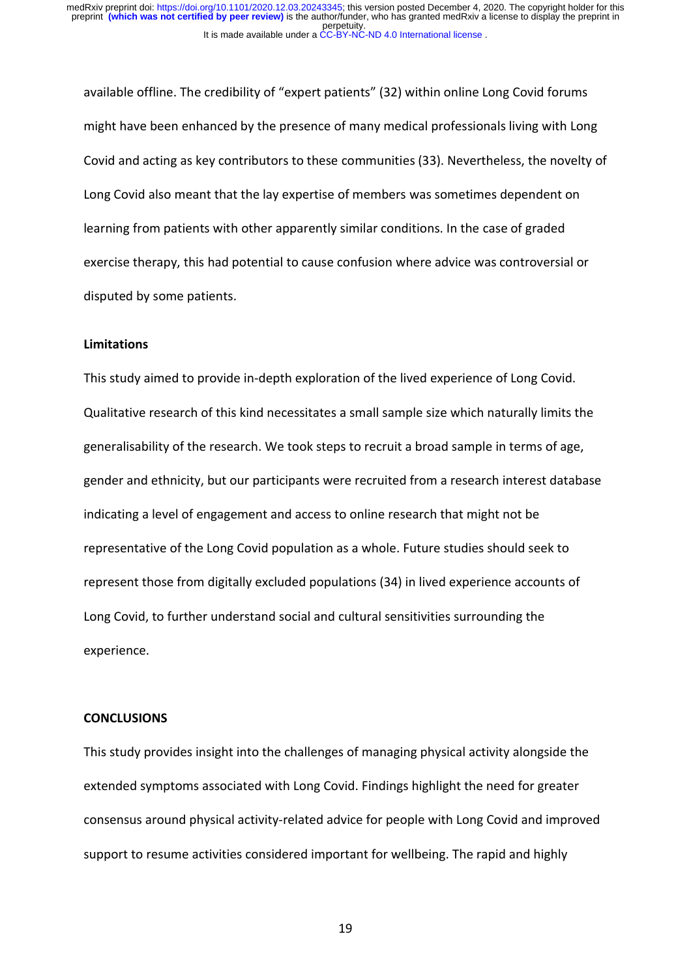available offline. The credibility of "expert patients" (32) within online Long Covid forums might have been enhanced by the presence of many medical professionals living with Long Covid and acting as key contributors to these communities (33). Nevertheless, the novelty of Long Covid also meant that the lay expertise of members was sometimes dependent on learning from patients with other apparently similar conditions. In the case of graded exercise therapy, this had potential to cause confusion where advice was controversial or disputed by some patients.

### **Limitations**

This study aimed to provide in-depth exploration of the lived experience of Long Covid. Qualitative research of this kind necessitates a small sample size which naturally limits the generalisability of the research. We took steps to recruit a broad sample in terms of age, gender and ethnicity, but our participants were recruited from a research interest database indicating a level of engagement and access to online research that might not be representative of the Long Covid population as a whole. Future studies should seek to represent those from digitally excluded populations (34) in lived experience accounts of Long Covid, to further understand social and cultural sensitivities surrounding the experience.

### **CONCLUSIONS**

This study provides insight into the challenges of managing physical activity alongside the extended symptoms associated with Long Covid. Findings highlight the need for greater consensus around physical activity-related advice for people with Long Covid and improved support to resume activities considered important for wellbeing. The rapid and highly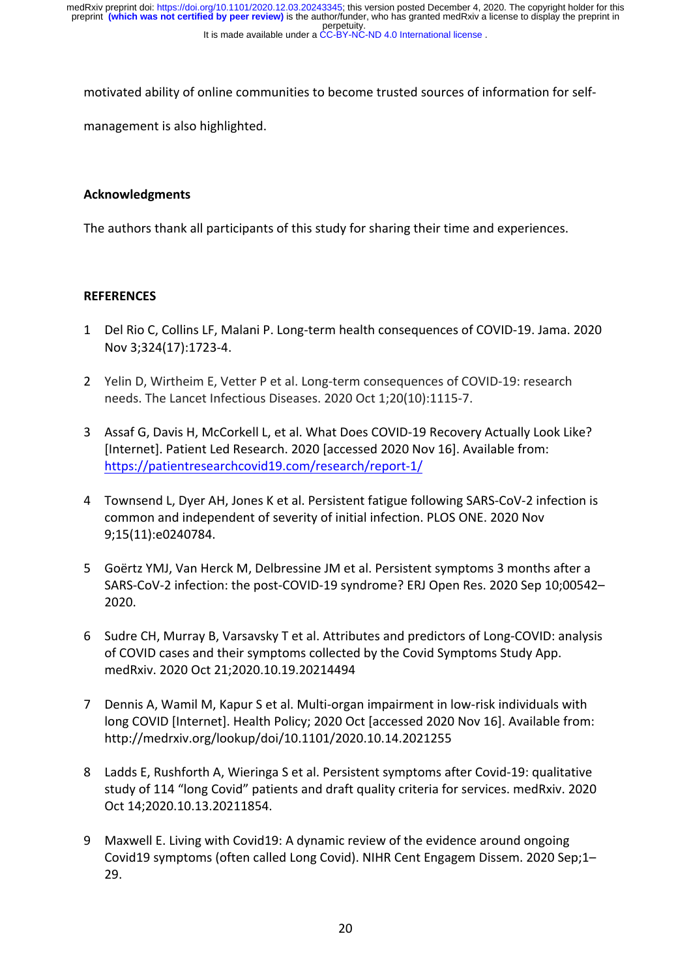It is made available under a CC-BY-NC-ND 4.0 International license. perpetuity. preprint **(which was not certified by peer review)** is the author/funder, who has granted medRxiv a license to display the preprint in medRxiv preprint doi: [https://doi.org/10.1101/2020.12.03.20243345;](https://doi.org/10.1101/2020.12.03.20243345) this version posted December 4, 2020. The copyright holder for this

motivated ability of online communities to become trusted sources of information for self-

management is also highlighted.

# **Acknowledgments**

The authors thank all participants of this study for sharing their time and experiences.

## **REFERENCES**

- 1 Del Rio C, Collins LF, Malani P. Long-term health consequences of COVID-19. Jama. 2020 Nov 3;324(17):1723-4.
- 2 Yelin D, Wirtheim E, Vetter P et al. Long-term consequences of COVID-19: research needs. The Lancet Infectious Diseases. 2020 Oct 1;20(10):1115-7.
- 3 Assaf G, Davis H, McCorkell L, et al. What Does COVID-19 Recovery Actually Look Like? [Internet]. Patient Led Research. 2020 [accessed 2020 Nov 16]. Available from: https://patientresearchcovid19.com/research/report-1/
- 4 Townsend L, Dyer AH, Jones K et al. Persistent fatigue following SARS-CoV-2 infection is common and independent of severity of initial infection. PLOS ONE. 2020 Nov 9;15(11):e0240784.
- 5 Goërtz YMJ, Van Herck M, Delbressine JM et al. Persistent symptoms 3 months after a SARS-CoV-2 infection: the post-COVID-19 syndrome? ERJ Open Res. 2020 Sep 10;00542– 2020.
- 6 Sudre CH, Murray B, Varsavsky T et al. Attributes and predictors of Long-COVID: analysis of COVID cases and their symptoms collected by the Covid Symptoms Study App. medRxiv. 2020 Oct 21;2020.10.19.20214494
- 7 Dennis A, Wamil M, Kapur S et al. Multi-organ impairment in low-risk individuals with long COVID [Internet]. Health Policy; 2020 Oct [accessed 2020 Nov 16]. Available from: http://medrxiv.org/lookup/doi/10.1101/2020.10.14.2021255
- 8 Ladds E, Rushforth A, Wieringa S et al. Persistent symptoms after Covid-19: qualitative study of 114 "long Covid" patients and draft quality criteria for services. medRxiv. 2020 Oct 14;2020.10.13.20211854.
- 9 Maxwell E. Living with Covid19: A dynamic review of the evidence around ongoing Covid19 symptoms (often called Long Covid). NIHR Cent Engagem Dissem. 2020 Sep;1– 29.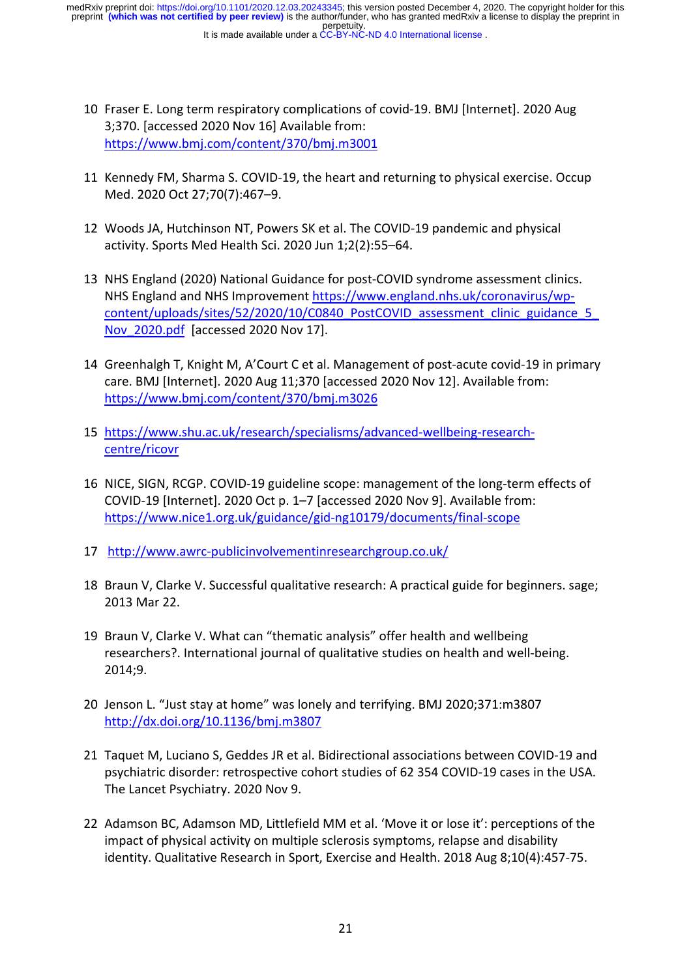It is made available under a CC-BY-NC-ND 4.0 International license. perpetuity. preprint **(which was not certified by peer review)** is the author/funder, who has granted medRxiv a license to display the preprint in medRxiv preprint doi: [https://doi.org/10.1101/2020.12.03.20243345;](https://doi.org/10.1101/2020.12.03.20243345) this version posted December 4, 2020. The copyright holder for this

- 10 Fraser E. Long term respiratory complications of covid-19. BMJ [Internet]. 2020 Aug 3;370. [accessed 2020 Nov 16] Available from: https://www.bmj.com/content/370/bmj.m3001
- 11 Kennedy FM, Sharma S. COVID-19, the heart and returning to physical exercise. Occup Med. 2020 Oct 27;70(7):467–9.
- 12 Woods JA, Hutchinson NT, Powers SK et al. The COVID-19 pandemic and physical activity. Sports Med Health Sci. 2020 Jun 1;2(2):55–64.
- 13 NHS England (2020) National Guidance for post-COVID syndrome assessment clinics. NHS England and NHS Improvement https://www.england.nhs.uk/coronavirus/wpcontent/uploads/sites/52/2020/10/C0840\_PostCOVID\_assessment\_clinic\_guidance\_5 Nov\_2020.pdf [accessed 2020 Nov 17].
- 14 Greenhalgh T, Knight M, A'Court C et al. Management of post-acute covid-19 in primary care. BMJ [Internet]. 2020 Aug 11;370 [accessed 2020 Nov 12]. Available from: https://www.bmj.com/content/370/bmj.m3026
- 15 https://www.shu.ac.uk/research/specialisms/advanced-wellbeing-researchcentre/ricovr
- 16 NICE, SIGN, RCGP. COVID-19 guideline scope: management of the long-term effects of COVID-19 [Internet]. 2020 Oct p. 1–7 [accessed 2020 Nov 9]. Available from: https://www.nice1.org.uk/guidance/gid-ng10179/documents/final-scope
- 17 http://www.awrc-publicinvolvementinresearchgroup.co.uk/
- 18 Braun V, Clarke V. Successful qualitative research: A practical guide for beginners. sage; 2013 Mar 22.
- 19 Braun V, Clarke V. What can "thematic analysis" offer health and wellbeing researchers?. International journal of qualitative studies on health and well-being. 2014;9.
- 20 Jenson L. "Just stay at home" was lonely and terrifying. BMJ 2020;371:m3807 http://dx.doi.org/10.1136/bmj.m3807
- 21 Taquet M, Luciano S, Geddes JR et al. Bidirectional associations between COVID-19 and psychiatric disorder: retrospective cohort studies of 62 354 COVID-19 cases in the USA. The Lancet Psychiatry. 2020 Nov 9.
- 22 Adamson BC, Adamson MD, Littlefield MM et al. 'Move it or lose it': perceptions of the impact of physical activity on multiple sclerosis symptoms, relapse and disability identity. Qualitative Research in Sport, Exercise and Health. 2018 Aug 8;10(4):457-75.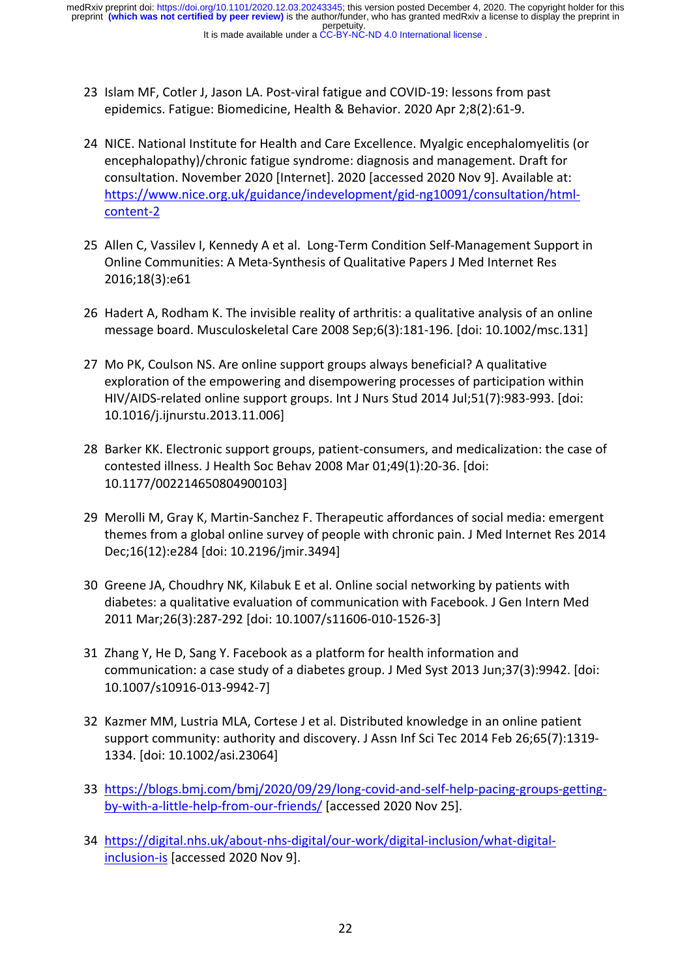- 23 Islam MF, Cotler J, Jason LA. Post-viral fatigue and COVID-19: lessons from past epidemics. Fatigue: Biomedicine, Health & Behavior. 2020 Apr 2;8(2):61-9.
- 24 NICE. National Institute for Health and Care Excellence. Myalgic encephalomyelitis (or encephalopathy)/chronic fatigue syndrome: diagnosis and management. Draft for consultation. November 2020 [Internet]. 2020 [accessed 2020 Nov 9]. Available at: https://www.nice.org.uk/guidance/indevelopment/gid-ng10091/consultation/htmlcontent-2
- 25 Allen C, Vassilev I, Kennedy A et al. Long-Term Condition Self-Management Support in Online Communities: A Meta-Synthesis of Qualitative Papers J Med Internet Res 2016;18(3):e61
- 26 Hadert A, Rodham K. The invisible reality of arthritis: a qualitative analysis of an online message board. Musculoskeletal Care 2008 Sep;6(3):181-196. [doi: 10.1002/msc.131]
- 27 Mo PK, Coulson NS. Are online support groups always beneficial? A qualitative exploration of the empowering and disempowering processes of participation within HIV/AIDS-related online support groups. Int J Nurs Stud 2014 Jul;51(7):983-993. [doi: 10.1016/j.ijnurstu.2013.11.006]
- 28 Barker KK. Electronic support groups, patient-consumers, and medicalization: the case of contested illness. J Health Soc Behav 2008 Mar 01;49(1):20-36. [doi: 10.1177/002214650804900103]
- 29 Merolli M, Gray K, Martin-Sanchez F. Therapeutic affordances of social media: emergent themes from a global online survey of people with chronic pain. J Med Internet Res 2014 Dec;16(12):e284 [doi: 10.2196/jmir.3494]
- 30 Greene JA, Choudhry NK, Kilabuk E et al. Online social networking by patients with diabetes: a qualitative evaluation of communication with Facebook. J Gen Intern Med 2011 Mar;26(3):287-292 [doi: 10.1007/s11606-010-1526-3]
- 31 Zhang Y, He D, Sang Y. Facebook as a platform for health information and communication: a case study of a diabetes group. J Med Syst 2013 Jun;37(3):9942. [doi: 10.1007/s10916-013-9942-7]
- 32 Kazmer MM, Lustria MLA, Cortese J et al. Distributed knowledge in an online patient support community: authority and discovery. J Assn Inf Sci Tec 2014 Feb 26;65(7):1319- 1334. [doi: 10.1002/asi.23064]
- 33 https://blogs.bmj.com/bmj/2020/09/29/long-covid-and-self-help-pacing-groups-gettingby-with-a-little-help-from-our-friends/ [accessed 2020 Nov 25].
- 34 https://digital.nhs.uk/about-nhs-digital/our-work/digital-inclusion/what-digitalinclusion-is [accessed 2020 Nov 9].